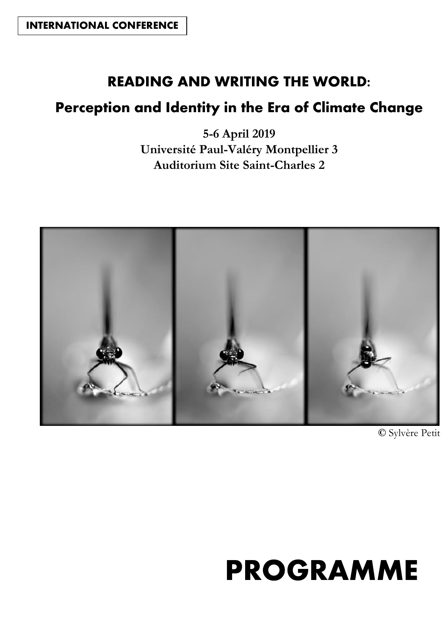### **READING AND WRITING THE WORLD:**

## **Perception and Identity in the Era of Climate Change**

**5-6 April 2019 Université Paul-Valéry Montpellier 3 Auditorium Site Saint-Charles 2**



**©** Sylvère Petit

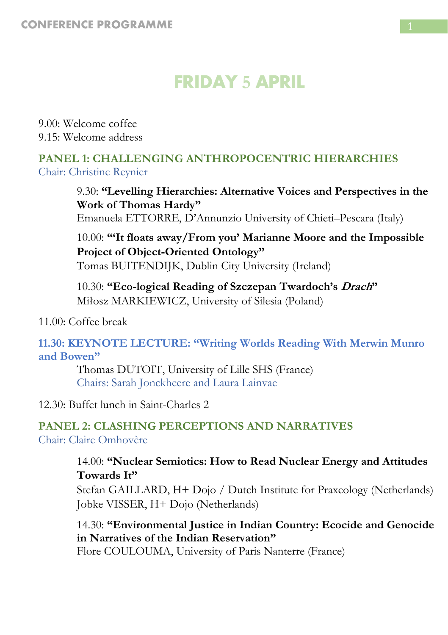# **FRIDAY 5 APRIL**

9.00: Welcome coffee 9.15: Welcome address

#### **PANEL 1: CHALLENGING ANTHROPOCENTRIC HIERARCHIES** Chair: Christine Reynier

9.30: **"Levelling Hierarchies: Alternative Voices and Perspectives in the Work of Thomas Hardy"** Emanuela ETTORRE, D'Annunzio University of Chieti–Pescara (Italy)

10.00: **"'It floats away/From you' Marianne Moore and the Impossible Project of Object-Oriented Ontology"** Tomas BUITENDIJK, Dublin City University (Ireland)

10.30: **"Eco-logical Reading of Szczepan Twardoch's Drach"** Miłosz MARKIEWICZ, University of Silesia (Poland)

11.00: Coffee break

**11.30: KEYNOTE LECTURE: "Writing Worlds Reading With Merwin Munro and Bowen"**

Thomas DUTOIT, University of Lille SHS (France) Chairs: Sarah Jonckheere and Laura Lainvae

12.30: Buffet lunch in Saint-Charles 2

#### **PANEL 2: CLASHING PERCEPTIONS AND NARRATIVES** Chair: Claire Omhovère

#### 14.00: **"Nuclear Semiotics: How to Read Nuclear Energy and Attitudes Towards It"**

Stefan GAILLARD, H+ Dojo / Dutch Institute for Praxeology (Netherlands) Jobke VISSER, H+ Dojo (Netherlands)

14.30: **"Environmental Justice in Indian Country: Ecocide and Genocide in Narratives of the Indian Reservation"**

Flore COULOUMA, University of Paris Nanterre (France)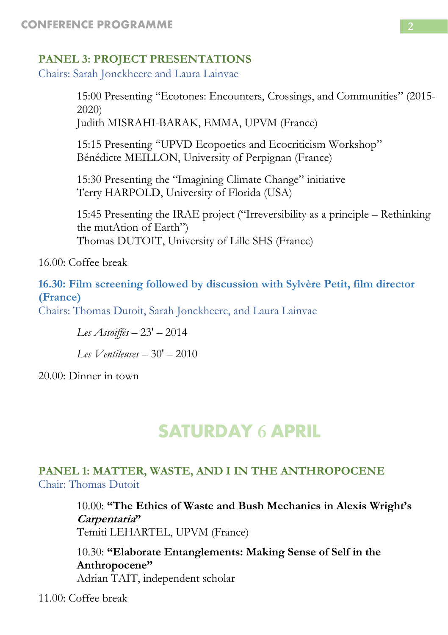#### **PANEL 3: PROJECT PRESENTATIONS**

Chairs: Sarah Jonckheere and Laura Lainvae

15:00 Presenting "Ecotones: Encounters, Crossings, and Communities" (2015- 2020) Judith MISRAHI-BARAK, EMMA, UPVM (France)

15:15 Presenting "UPVD Ecopoetics and Ecocriticism Workshop" Bénédicte MEILLON, University of Perpignan (France)

15:30 Presenting the "Imagining Climate Change" initiative Terry HARPOLD, University of Florida (USA)

15:45 Presenting the IRAE project ("Irreversibility as a principle – Rethinking the mutAtion of Earth") Thomas DUTOIT, University of Lille SHS (France)

16.00: Coffee break

**16.30: Film screening followed by discussion with Sylvère Petit, film director (France)**

Chairs: Thomas Dutoit, Sarah Jonckheere, and Laura Lainvae

*Les Assoiffés* – 23' – 2014

*Les Ventileuses* – 30' – 2010

20.00: Dinner in town

# **SATURDAY 6 APRIL**

#### **PANEL 1: MATTER, WASTE, AND I IN THE ANTHROPOCENE** Chair: Thomas Dutoit

10.00: **"The Ethics of Waste and Bush Mechanics in Alexis Wright's Carpentaria"** Temiti LEHARTEL, UPVM (France)

10.30: **"Elaborate Entanglements: Making Sense of Self in the Anthropocene"** Adrian TAIT, independent scholar

11.00: Coffee break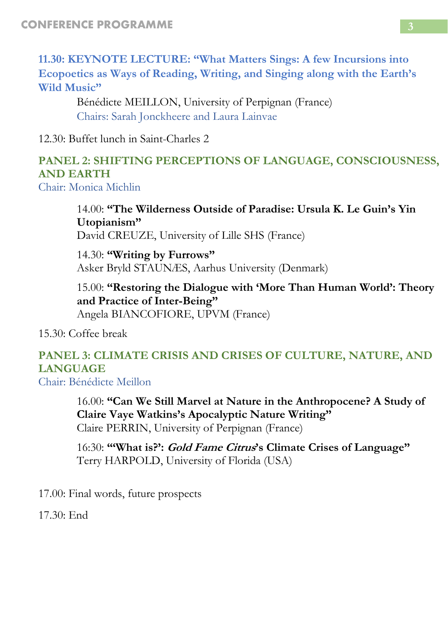**11.30: KEYNOTE LECTURE: "What Matters Sings: A few Incursions into Ecopoetics as Ways of Reading, Writing, and Singing along with the Earth's Wild Music"**

Bénédicte MEILLON, University of Perpignan (France) Chairs: Sarah Jonckheere and Laura Lainvae

12.30: Buffet lunch in Saint-Charles 2

#### **PANEL 2: SHIFTING PERCEPTIONS OF LANGUAGE, CONSCIOUSNESS, AND EARTH**

Chair: Monica Michlin

14.00: **"The Wilderness Outside of Paradise: Ursula K. Le Guin's Yin Utopianism"** David CREUZE, University of Lille SHS (France)

14.30: **"Writing by Furrows"** Asker Bryld STAUNÆS, Aarhus University (Denmark)

15.00: **"Restoring the Dialogue with 'More Than Human World': Theory and Practice of Inter-Being"** Angela BIANCOFIORE, UPVM (France)

15.30: Coffee break

## **PANEL 3: CLIMATE CRISIS AND CRISES OF CULTURE, NATURE, AND LANGUAGE**

Chair: Bénédicte Meillon

16.00: **"Can We Still Marvel at Nature in the Anthropocene? A Study of Claire Vaye Watkins's Apocalyptic Nature Writing"** Claire PERRIN, University of Perpignan (France)

16:30: **"'What is?': Gold Fame Citrus's Climate Crises of Language"** Terry HARPOLD, University of Florida (USA)

17.00: Final words, future prospects

 $17.30 \cdot$  End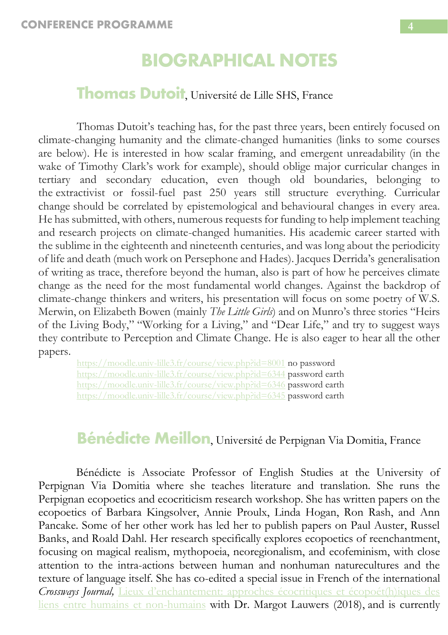## **BIOGRAPHICAL NOTES**

#### **Thomas Dutoit**, Université de Lille SHS, France

Thomas Dutoit's teaching has, for the past three years, been entirely focused on climate-changing humanity and the climate-changed humanities (links to some courses are below). He is interested in how scalar framing, and emergent unreadability (in the wake of Timothy Clark's work for example), should oblige major curricular changes in tertiary and secondary education, even though old boundaries, belonging to the extractivist or fossil-fuel past 250 years still structure everything. Curricular change should be correlated by epistemological and behavioural changes in every area. He has submitted, with others, numerous requests for funding to help implement teaching and research projects on climate-changed humanities. His academic career started with the sublime in the eighteenth and nineteenth centuries, and was long about the periodicity of life and death (much work on Persephone and Hades). Jacques Derrida's generalisation of writing as trace, therefore beyond the human, also is part of how he perceives climate change as the need for the most fundamental world changes. Against the backdrop of climate-change thinkers and writers, his presentation will focus on some poetry of W.S. Merwin, on Elizabeth Bowen (mainly *The Little Girls*) and on Munro's three stories "Heirs of the Living Body," "Working for a Living," and "Dear Life," and try to suggest ways they contribute to Perception and Climate Change. He is also eager to hear all the other papers.

<https://moodle.univ-lille3.fr/course/view.php?id=8001> no password <https://moodle.univ-lille3.fr/course/view.php?id=6344> password earth <https://moodle.univ-lille3.fr/course/view.php?id=6346> password earth <https://moodle.univ-lille3.fr/course/view.php?id=6345> password earth

# **Bénédicte Meillon**, Université de Perpignan Via Domitia, France

Bénédicte is Associate Professor of English Studies at the University of Perpignan Via Domitia where she teaches literature and translation. She runs the Perpignan ecopoetics and ecocriticism research workshop. She has written papers on the ecopoetics of Barbara Kingsolver, Annie Proulx, Linda Hogan, Ron Rash, and Ann Pancake. Some of her other work has led her to publish papers on Paul Auster, Russel Banks, and Roald Dahl. Her research specifically explores ecopoetics of reenchantment, focusing on magical realism, mythopoeia, neoregionalism, and ecofeminism, with close attention to the intra-actions between human and nonhuman naturecultures and the texture of language itself. She has co-edited a special issue in French of the international *Crossways Journal,* [Lieux d'enchantement: approches écocritiques et écopoét\(h\)iques des](https://crossways.lib.uoguelph.ca/index.php/crossways/article/view/4686)  [liens entre humains et non-humains](https://crossways.lib.uoguelph.ca/index.php/crossways/article/view/4686) with Dr. Margot Lauwers (2018), and is currently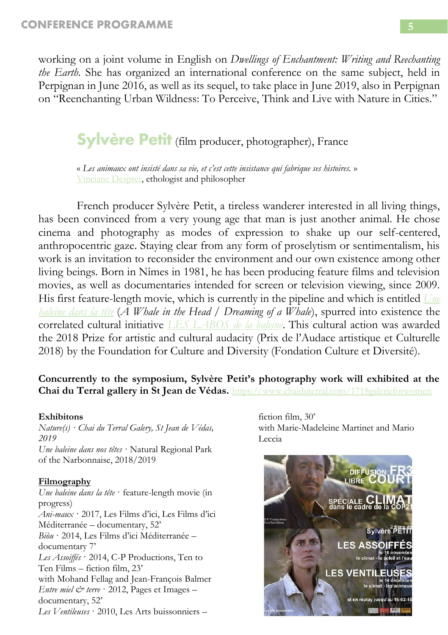working on a joint volume in English on *Dwellings of Enchantment: Writing and Reechanting the Earth.* She has organized an international conference on the same subject, held in Perpignan in June 2016, as well as its sequel, to take place in June 2019, also in Perpignan on "Reenchanting Urban Wildness: To Perceive, Think and Live with Nature in Cities."

**Sylvère Petit** (film producer, photographer), France

« *Les animaux ont insisté dans sa vie, et c'est cette insistance qui fabrique ses histoires.* » [Vinciane Despret,](https://fr.wikipedia.org/wiki/Vinciane_Despret) ethologist and philosopher

French producer Sylvère Petit, a tireless wanderer interested in all living things, has been convinced from a very young age that man is just another animal. He chose cinema and photography as modes of expression to shake up our self-centered, anthropocentric gaze. Staying clear from any form of proselytism or sentimentalism, his work is an invitation to reconsider the environment and our own existence among other living beings. Born in Nîmes in 1981, he has been producing feature films and television movies, as well as documentaries intended for screen or television viewing, since 2009. His first feature-length movie, which is currently in the pipeline and which is entitled *[Une](http://www.labaleine.languedoc-roussillon-cinema.fr/)  [baleine dans la tête](http://www.labaleine.languedoc-roussillon-cinema.fr/)* (*A Whale in the Head / Dreaming of a Whale*), spurred into existence the correlated cultural initiative *[LES LABOS de la baleine](http://lesartsbuissonniers.org/index.php/portfolio/les-labos-de-la-baleine/)*. This cultural action was awarded the 2018 Prize for artistic and cultural audacity (Prix de l'Audace artistique et Culturelle 2018) by the Foundation for Culture and Diversity (Fondation Culture et Diversité).

#### **Concurrently to the symposium, Sylvère Petit's photography work will exhibited at the Chai du Terral gallery in St Jean de Védas.** <https://www.chaiduterral.com/1718galerieforwomen>

#### **Exhibitons**

*Nature(s) · Chai du Terral Galery, St Jean de Védas, 2019 Une baleine dans nos têtes ·* Natural Regional Park of the Narbonnaise, 2018/2019

#### **Filmography**

*Une baleine dans la tête* · feature-length movie (in progress) *Ani-maux* · 2017, Les Films d'ici, Les Films d'ici Méditerranée – documentary, 52' *Biòu* · 2014, Les Films d'ici Méditerranée – documentary 7' *Les Assoiffés* · 2014, C-P Productions, Ten to Ten Films – fiction film, 23' with Mohand Fellag and Jean-François Balmer *Entre miel & terre* · 2012, Pages et Images – documentary, 52' *Les Ventileuses* · 2010, Les Arts buissonniers –

fiction film, 30' with Marie-Madeleine Martinet and Mario Leccia